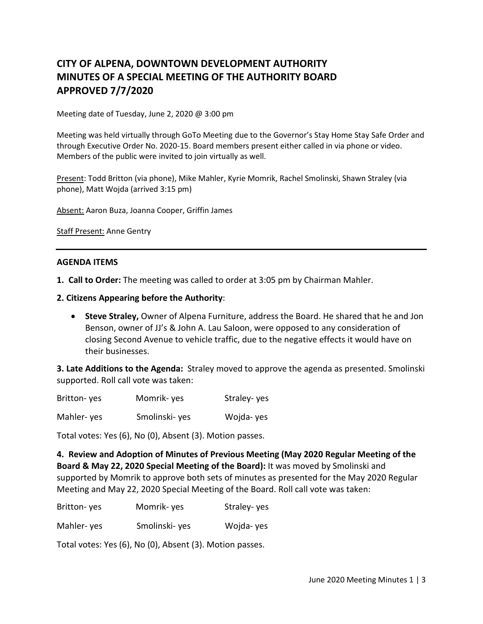# **CITY OF ALPENA, DOWNTOWN DEVELOPMENT AUTHORITY MINUTES OF A SPECIAL MEETING OF THE AUTHORITY BOARD APPROVED 7/7/2020**

Meeting date of Tuesday, June 2, 2020 @ 3:00 pm

Meeting was held virtually through GoTo Meeting due to the Governor's Stay Home Stay Safe Order and through Executive Order No. 2020-15. Board members present either called in via phone or video. Members of the public were invited to join virtually as well.

Present: Todd Britton (via phone), Mike Mahler, Kyrie Momrik, Rachel Smolinski, Shawn Straley (via phone), Matt Wojda (arrived 3:15 pm)

Absent: Aaron Buza, Joanna Cooper, Griffin James

Staff Present: Anne Gentry

#### **AGENDA ITEMS**

- **1. Call to Order:** The meeting was called to order at 3:05 pm by Chairman Mahler.
- **2. Citizens Appearing before the Authority**:
	- **Steve Straley,** Owner of Alpena Furniture, address the Board. He shared that he and Jon Benson, owner of JJ's & John A. Lau Saloon, were opposed to any consideration of closing Second Avenue to vehicle traffic, due to the negative effects it would have on their businesses.

**3. Late Additions to the Agenda:** Straley moved to approve the agenda as presented. Smolinski supported. Roll call vote was taken:

| Britton-yes | Momrik-yes | Straley-yes |
|-------------|------------|-------------|
|-------------|------------|-------------|

Mahler- yes Smolinski- yes Wojda- yes

Total votes: Yes (6), No (0), Absent (3). Motion passes.

**4. Review and Adoption of Minutes of Previous Meeting (May 2020 Regular Meeting of the Board & May 22, 2020 Special Meeting of the Board):** It was moved by Smolinski and supported by Momrik to approve both sets of minutes as presented for the May 2020 Regular Meeting and May 22, 2020 Special Meeting of the Board. Roll call vote was taken:

| Britton-yes | Momrik-yes | Straley-yes |
|-------------|------------|-------------|
|-------------|------------|-------------|

Mahler- yes Smolinski- yes Wojda- yes

Total votes: Yes (6), No (0), Absent (3). Motion passes.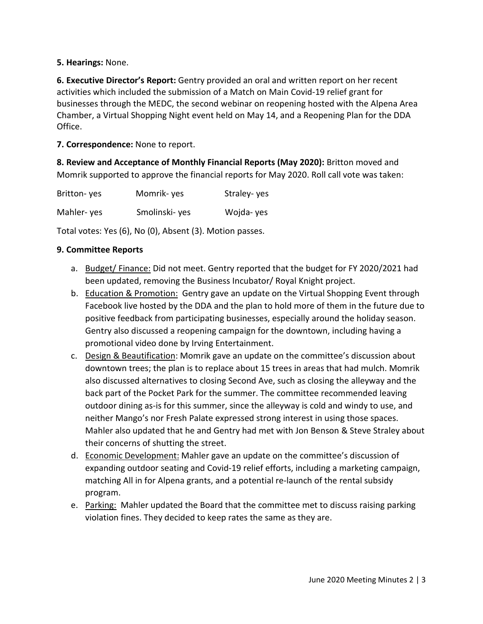## **5. Hearings:** None.

**6. Executive Director's Report:** Gentry provided an oral and written report on her recent activities which included the submission of a Match on Main Covid-19 relief grant for businesses through the MEDC, the second webinar on reopening hosted with the Alpena Area Chamber, a Virtual Shopping Night event held on May 14, and a Reopening Plan for the DDA Office.

**7. Correspondence:** None to report.

**8. Review and Acceptance of Monthly Financial Reports (May 2020):** Britton moved and Momrik supported to approve the financial reports for May 2020. Roll call vote was taken:

| Britton-yes | Momrik-yes    | Straley-yes |
|-------------|---------------|-------------|
| Mahler-yes  | Smolinski-yes | Wojda-yes   |

Total votes: Yes (6), No (0), Absent (3). Motion passes.

### **9. Committee Reports**

- a. Budget/ Finance: Did not meet. Gentry reported that the budget for FY 2020/2021 had been updated, removing the Business Incubator/ Royal Knight project.
- b. Education & Promotion: Gentry gave an update on the Virtual Shopping Event through Facebook live hosted by the DDA and the plan to hold more of them in the future due to positive feedback from participating businesses, especially around the holiday season. Gentry also discussed a reopening campaign for the downtown, including having a promotional video done by Irving Entertainment.
- c. Design & Beautification: Momrik gave an update on the committee's discussion about downtown trees; the plan is to replace about 15 trees in areas that had mulch. Momrik also discussed alternatives to closing Second Ave, such as closing the alleyway and the back part of the Pocket Park for the summer. The committee recommended leaving outdoor dining as-is for this summer, since the alleyway is cold and windy to use, and neither Mango's nor Fresh Palate expressed strong interest in using those spaces. Mahler also updated that he and Gentry had met with Jon Benson & Steve Straley about their concerns of shutting the street.
- d. Economic Development: Mahler gave an update on the committee's discussion of expanding outdoor seating and Covid-19 relief efforts, including a marketing campaign, matching All in for Alpena grants, and a potential re-launch of the rental subsidy program.
- e. Parking: Mahler updated the Board that the committee met to discuss raising parking violation fines. They decided to keep rates the same as they are.